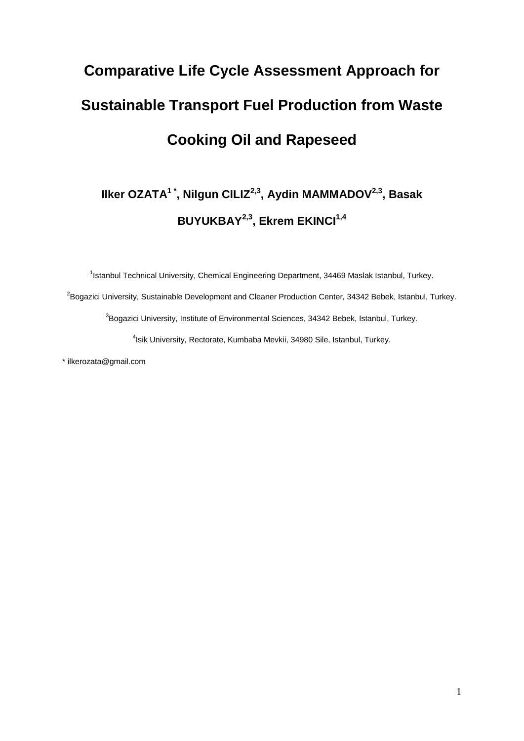# **Comparative Life Cycle Assessment Approach for Sustainable Transport Fuel Production from Waste Cooking Oil and Rapeseed**

# **Ilker OZATA<sup>1</sup> \* , Nilgun CILIZ2,3 , Aydin MAMMADOV2,3 , Basak BUYUKBAY2,3, Ekrem EKINCI1,4**

<sup>1</sup>Istanbul Technical University, Chemical Engineering Department, 34469 Maslak Istanbul, Turkey.  $^{2}$ Bogazici University, Sustainable Development and Cleaner Production Center, 34342 Bebek, Istanbul, Turkey.  ${}^{3}$ Bogazici University, Institute of Environmental Sciences, 34342 Bebek, Istanbul, Turkey. 4 Isik University, Rectorate, Kumbaba Mevkii, 34980 Sile, Istanbul, Turkey.

\* [ilkerozata@gmail.com](mailto:X%20ilkerozata@gmail.com)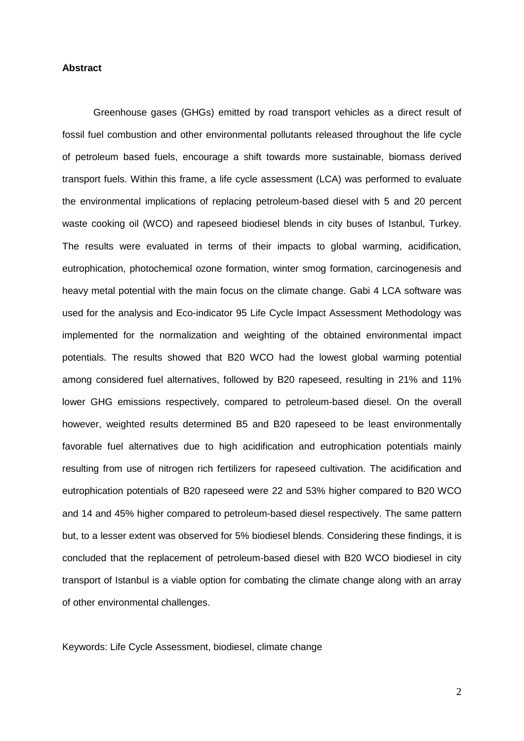## **Abstract**

Greenhouse gases (GHGs) emitted by road transport vehicles as a direct result of fossil fuel combustion and other environmental pollutants released throughout the life cycle of petroleum based fuels, encourage a shift towards more sustainable, biomass derived transport fuels. Within this frame, a life cycle assessment (LCA) was performed to evaluate the environmental implications of replacing petroleum-based diesel with 5 and 20 percent waste cooking oil (WCO) and rapeseed biodiesel blends in city buses of Istanbul, Turkey. The results were evaluated in terms of their impacts to global warming, acidification, eutrophication, photochemical ozone formation, winter smog formation, carcinogenesis and heavy metal potential with the main focus on the climate change. Gabi 4 LCA software was used for the analysis and Eco-indicator 95 Life Cycle Impact Assessment Methodology was implemented for the normalization and weighting of the obtained environmental impact potentials. The results showed that B20 WCO had the lowest global warming potential among considered fuel alternatives, followed by B20 rapeseed, resulting in 21% and 11% lower GHG emissions respectively, compared to petroleum-based diesel. On the overall however, weighted results determined B5 and B20 rapeseed to be least environmentally favorable fuel alternatives due to high acidification and eutrophication potentials mainly resulting from use of nitrogen rich fertilizers for rapeseed cultivation. The acidification and eutrophication potentials of B20 rapeseed were 22 and 53% higher compared to B20 WCO and 14 and 45% higher compared to petroleum-based diesel respectively. The same pattern but, to a lesser extent was observed for 5% biodiesel blends. Considering these findings, it is concluded that the replacement of petroleum-based diesel with B20 WCO biodiesel in city transport of Istanbul is a viable option for combating the climate change along with an array of other environmental challenges.

Keywords: Life Cycle Assessment, biodiesel, climate change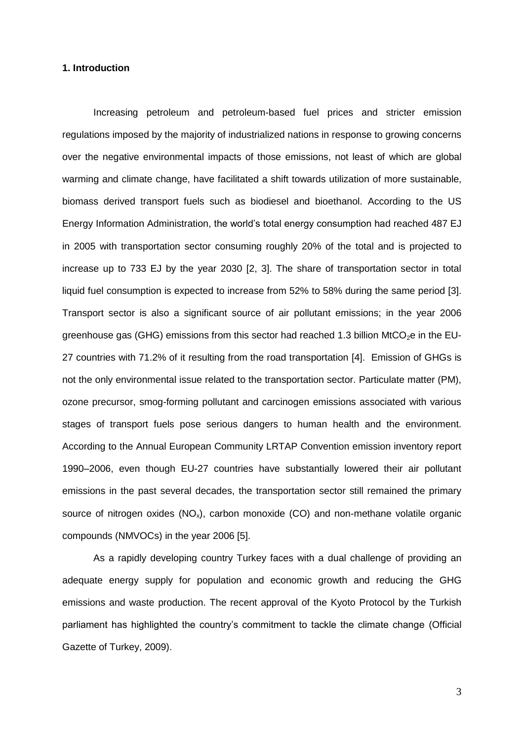#### **1. Introduction**

Increasing petroleum and petroleum-based fuel prices and stricter emission regulations imposed by the majority of industrialized nations in response to growing concerns over the negative environmental impacts of those emissions, not least of which are global warming and climate change, have facilitated a shift towards utilization of more sustainable, biomass derived transport fuels such as biodiesel and bioethanol. According to the US Energy Information Administration, the world's total energy consumption had reached 487 EJ in 2005 with transportation sector consuming roughly 20% of the total and is projected to increase up to 733 EJ by the year 2030 [2, 3]. The share of transportation sector in total liquid fuel consumption is expected to increase from 52% to 58% during the same period [3]. Transport sector is also a significant source of air pollutant emissions; in the year 2006 greenhouse gas (GHG) emissions from this sector had reached 1.3 billion  $MtCO<sub>2</sub>e$  in the EU-27 countries with 71.2% of it resulting from the road transportation [4]. Emission of GHGs is not the only environmental issue related to the transportation sector. Particulate matter (PM), ozone precursor, smog-forming pollutant and carcinogen emissions associated with various stages of transport fuels pose serious dangers to human health and the environment. According to the Annual European Community LRTAP Convention emission inventory report 1990–2006, even though EU-27 countries have substantially lowered their air pollutant emissions in the past several decades, the transportation sector still remained the primary source of nitrogen oxides  $(NO_x)$ , carbon monoxide  $(CO)$  and non-methane volatile organic compounds (NMVOCs) in the year 2006 [5].

As a rapidly developing country Turkey faces with a dual challenge of providing an adequate energy supply for population and economic growth and reducing the GHG emissions and waste production. The recent approval of the Kyoto Protocol by the Turkish parliament has highlighted the country's commitment to tackle the climate change (Official Gazette of Turkey, 2009).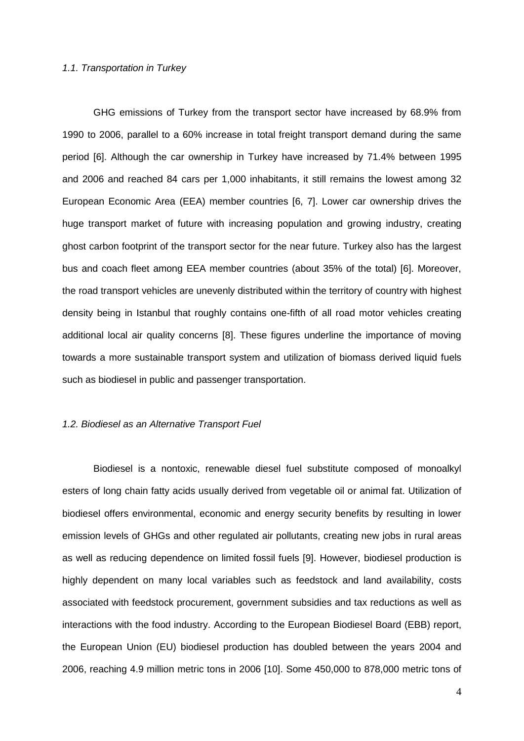### *1.1. Transportation in Turkey*

GHG emissions of Turkey from the transport sector have increased by 68.9% from 1990 to 2006, parallel to a 60% increase in total freight transport demand during the same period [6]. Although the car ownership in Turkey have increased by 71.4% between 1995 and 2006 and reached 84 cars per 1,000 inhabitants, it still remains the lowest among 32 European Economic Area (EEA) member countries [6, 7]. Lower car ownership drives the huge transport market of future with increasing population and growing industry, creating ghost carbon footprint of the transport sector for the near future. Turkey also has the largest bus and coach fleet among EEA member countries (about 35% of the total) [6]. Moreover, the road transport vehicles are unevenly distributed within the territory of country with highest density being in Istanbul that roughly contains one-fifth of all road motor vehicles creating additional local air quality concerns [8]. These figures underline the importance of moving towards a more sustainable transport system and utilization of biomass derived liquid fuels such as biodiesel in public and passenger transportation.

#### *1.2. Biodiesel as an Alternative Transport Fuel*

Biodiesel is a nontoxic, renewable diesel fuel substitute composed of monoalkyl esters of long chain fatty acids usually derived from vegetable oil or animal fat. Utilization of biodiesel offers environmental, economic and energy security benefits by resulting in lower emission levels of GHGs and other regulated air pollutants, creating new jobs in rural areas as well as reducing dependence on limited fossil fuels [9]. However, biodiesel production is highly dependent on many local variables such as feedstock and land availability, costs associated with feedstock procurement, government subsidies and tax reductions as well as interactions with the food industry. According to the European Biodiesel Board (EBB) report, the European Union (EU) biodiesel production has doubled between the years 2004 and 2006, reaching 4.9 million metric tons in 2006 [10]. Some 450,000 to 878,000 metric tons of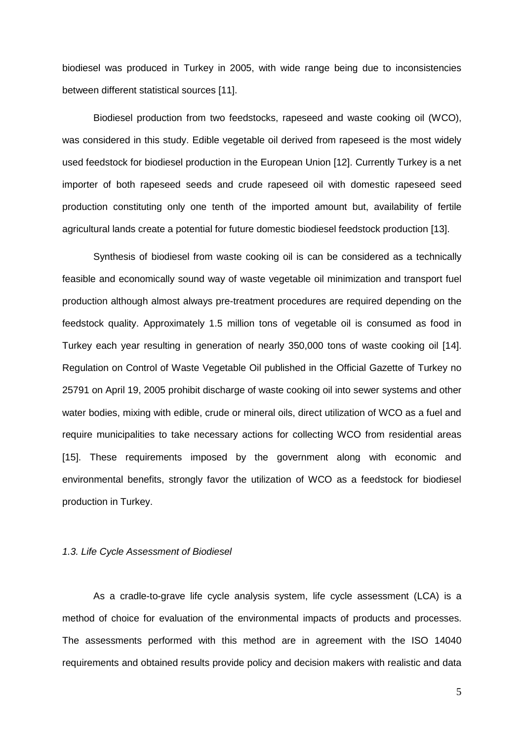biodiesel was produced in Turkey in 2005, with wide range being due to inconsistencies between different statistical sources [11].

Biodiesel production from two feedstocks, rapeseed and waste cooking oil (WCO), was considered in this study. Edible vegetable oil derived from rapeseed is the most widely used feedstock for biodiesel production in the European Union [12]. Currently Turkey is a net importer of both rapeseed seeds and crude rapeseed oil with domestic rapeseed seed production constituting only one tenth of the imported amount but, availability of fertile agricultural lands create a potential for future domestic biodiesel feedstock production [13].

Synthesis of biodiesel from waste cooking oil is can be considered as a technically feasible and economically sound way of waste vegetable oil minimization and transport fuel production although almost always pre-treatment procedures are required depending on the feedstock quality. Approximately 1.5 million tons of vegetable oil is consumed as food in Turkey each year resulting in generation of nearly 350,000 tons of waste cooking oil [14]. Regulation on Control of Waste Vegetable Oil published in the Official Gazette of Turkey no 25791 on April 19, 2005 prohibit discharge of waste cooking oil into sewer systems and other water bodies, mixing with edible, crude or mineral oils, direct utilization of WCO as a fuel and require municipalities to take necessary actions for collecting WCO from residential areas [15]. These requirements imposed by the government along with economic and environmental benefits, strongly favor the utilization of WCO as a feedstock for biodiesel production in Turkey.

#### *1.3. Life Cycle Assessment of Biodiesel*

As a cradle-to-grave life cycle analysis system, life cycle assessment (LCA) is a method of choice for evaluation of the environmental impacts of products and processes. The assessments performed with this method are in agreement with the ISO 14040 requirements and obtained results provide policy and decision makers with realistic and data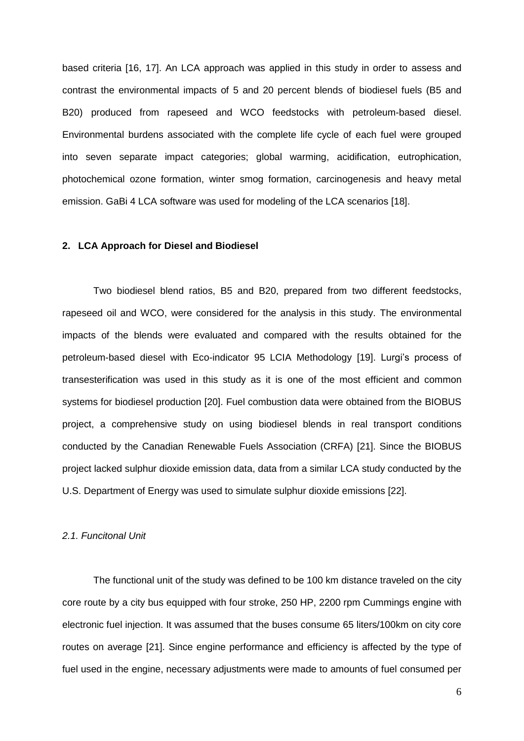based criteria [16, 17]. An LCA approach was applied in this study in order to assess and contrast the environmental impacts of 5 and 20 percent blends of biodiesel fuels (B5 and B20) produced from rapeseed and WCO feedstocks with petroleum-based diesel. Environmental burdens associated with the complete life cycle of each fuel were grouped into seven separate impact categories; global warming, acidification, eutrophication, photochemical ozone formation, winter smog formation, carcinogenesis and heavy metal emission. GaBi 4 LCA software was used for modeling of the LCA scenarios [18].

# **2. LCA Approach for Diesel and Biodiesel**

Two biodiesel blend ratios, B5 and B20, prepared from two different feedstocks, rapeseed oil and WCO, were considered for the analysis in this study. The environmental impacts of the blends were evaluated and compared with the results obtained for the petroleum-based diesel with Eco-indicator 95 LCIA Methodology [19]. Lurgi's process of transesterification was used in this study as it is one of the most efficient and common systems for biodiesel production [20]. Fuel combustion data were obtained from the BIOBUS project, a comprehensive study on using biodiesel blends in real transport conditions conducted by the Canadian Renewable Fuels Association (CRFA) [21]. Since the BIOBUS project lacked sulphur dioxide emission data, data from a similar LCA study conducted by the U.S. Department of Energy was used to simulate sulphur dioxide emissions [22].

#### *2.1. Funcitonal Unit*

The functional unit of the study was defined to be 100 km distance traveled on the city core route by a city bus equipped with four stroke, 250 HP, 2200 rpm Cummings engine with electronic fuel injection. It was assumed that the buses consume 65 liters/100km on city core routes on average [21]. Since engine performance and efficiency is affected by the type of fuel used in the engine, necessary adjustments were made to amounts of fuel consumed per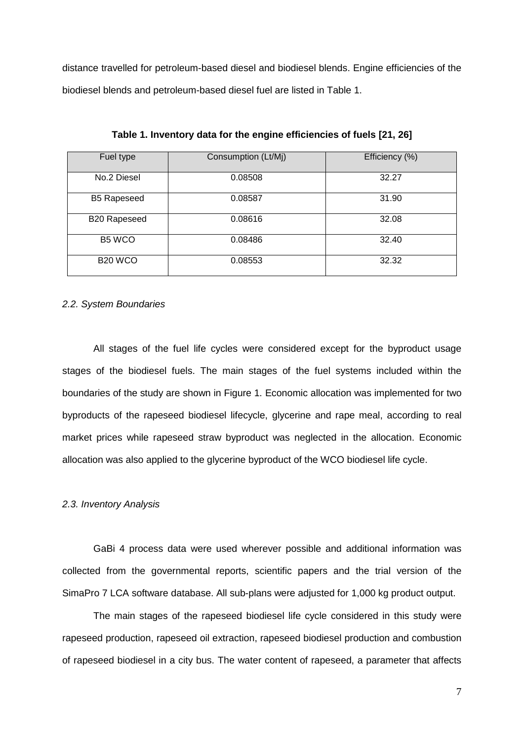distance travelled for petroleum-based diesel and biodiesel blends. Engine efficiencies of the biodiesel blends and petroleum-based diesel fuel are listed in Table 1.

| Fuel type           | Consumption (Lt/Mj) | Efficiency (%) |
|---------------------|---------------------|----------------|
| No.2 Diesel         | 0.08508             | 32.27          |
| <b>B5 Rapeseed</b>  | 0.08587             | 31.90          |
| B20 Rapeseed        | 0.08616             | 32.08          |
| B <sub>5</sub> WCO  | 0.08486             | 32.40          |
| B <sub>20</sub> WCO | 0.08553             | 32.32          |

**Table 1. Inventory data for the engine efficiencies of fuels [21, 26]**

#### *2.2. System Boundaries*

All stages of the fuel life cycles were considered except for the byproduct usage stages of the biodiesel fuels. The main stages of the fuel systems included within the boundaries of the study are shown in Figure 1. Economic allocation was implemented for two byproducts of the rapeseed biodiesel lifecycle, glycerine and rape meal, according to real market prices while rapeseed straw byproduct was neglected in the allocation. Economic allocation was also applied to the glycerine byproduct of the WCO biodiesel life cycle.

#### *2.3. Inventory Analysis*

GaBi 4 process data were used wherever possible and additional information was collected from the governmental reports, scientific papers and the trial version of the SimaPro 7 LCA software database. All sub-plans were adjusted for 1,000 kg product output.

The main stages of the rapeseed biodiesel life cycle considered in this study were rapeseed production, rapeseed oil extraction, rapeseed biodiesel production and combustion of rapeseed biodiesel in a city bus. The water content of rapeseed, a parameter that affects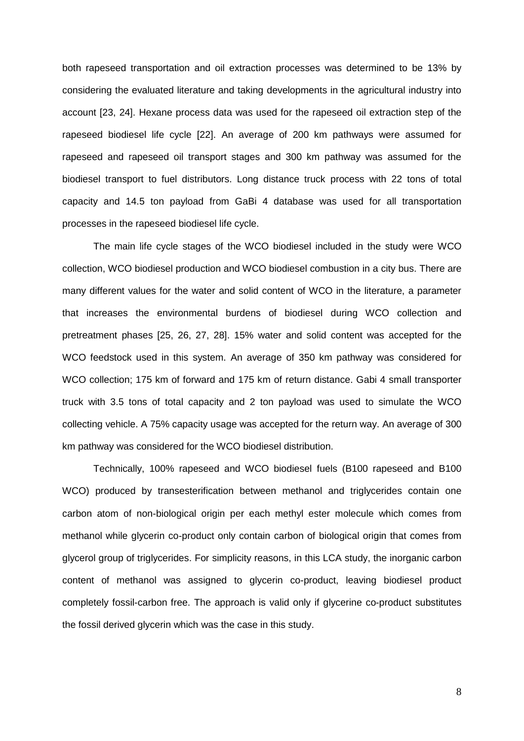both rapeseed transportation and oil extraction processes was determined to be 13% by considering the evaluated literature and taking developments in the agricultural industry into account [23, 24]. Hexane process data was used for the rapeseed oil extraction step of the rapeseed biodiesel life cycle [22]. An average of 200 km pathways were assumed for rapeseed and rapeseed oil transport stages and 300 km pathway was assumed for the biodiesel transport to fuel distributors. Long distance truck process with 22 tons of total capacity and 14.5 ton payload from GaBi 4 database was used for all transportation processes in the rapeseed biodiesel life cycle.

The main life cycle stages of the WCO biodiesel included in the study were WCO collection, WCO biodiesel production and WCO biodiesel combustion in a city bus. There are many different values for the water and solid content of WCO in the literature, a parameter that increases the environmental burdens of biodiesel during WCO collection and pretreatment phases [25, 26, 27, 28]. 15% water and solid content was accepted for the WCO feedstock used in this system. An average of 350 km pathway was considered for WCO collection; 175 km of forward and 175 km of return distance. Gabi 4 small transporter truck with 3.5 tons of total capacity and 2 ton payload was used to simulate the WCO collecting vehicle. A 75% capacity usage was accepted for the return way. An average of 300 km pathway was considered for the WCO biodiesel distribution.

Technically, 100% rapeseed and WCO biodiesel fuels (B100 rapeseed and B100 WCO) produced by transesterification between methanol and triglycerides contain one carbon atom of non-biological origin per each methyl ester molecule which comes from methanol while glycerin co-product only contain carbon of biological origin that comes from glycerol group of triglycerides. For simplicity reasons, in this LCA study, the inorganic carbon content of methanol was assigned to glycerin co-product, leaving biodiesel product completely fossil-carbon free. The approach is valid only if glycerine co-product substitutes the fossil derived glycerin which was the case in this study.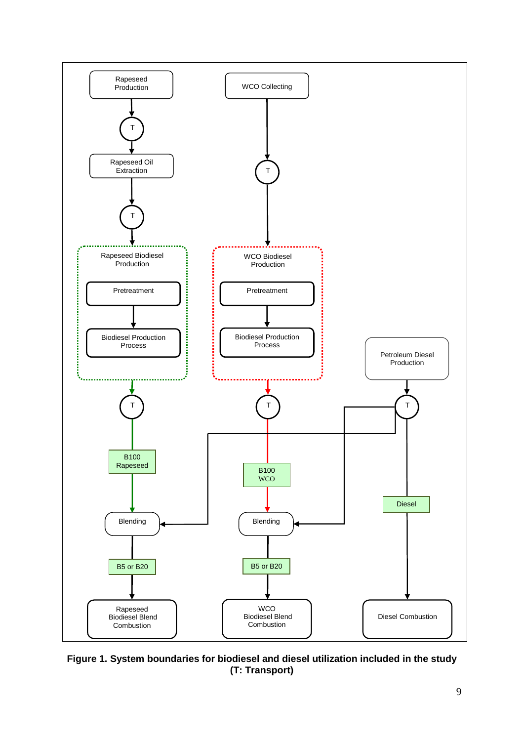

**Figure 1. System boundaries for biodiesel and diesel utilization included in the study (T: Transport)**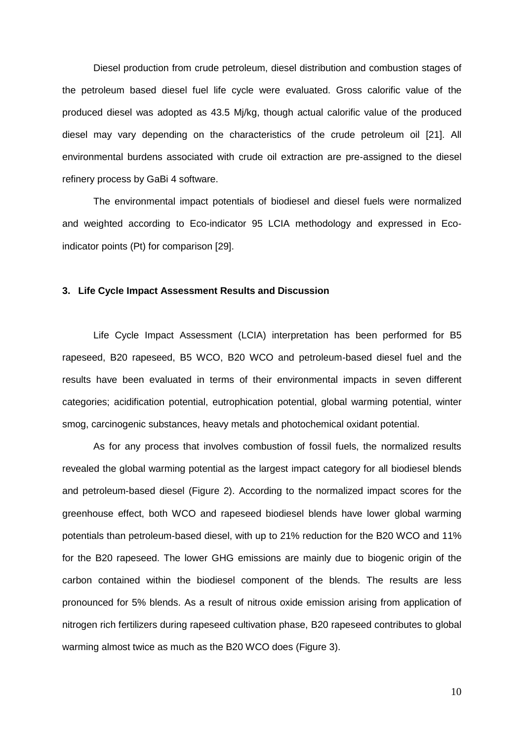Diesel production from crude petroleum, diesel distribution and combustion stages of the petroleum based diesel fuel life cycle were evaluated. Gross calorific value of the produced diesel was adopted as 43.5 Mj/kg, though actual calorific value of the produced diesel may vary depending on the characteristics of the crude petroleum oil [21]. All environmental burdens associated with crude oil extraction are pre-assigned to the diesel refinery process by GaBi 4 software.

The environmental impact potentials of biodiesel and diesel fuels were normalized and weighted according to Eco-indicator 95 LCIA methodology and expressed in Ecoindicator points (Pt) for comparison [29].

#### **3. Life Cycle Impact Assessment Results and Discussion**

Life Cycle Impact Assessment (LCIA) interpretation has been performed for B5 rapeseed, B20 rapeseed, B5 WCO, B20 WCO and petroleum-based diesel fuel and the results have been evaluated in terms of their environmental impacts in seven different categories; acidification potential, eutrophication potential, global warming potential, winter smog, carcinogenic substances, heavy metals and photochemical oxidant potential.

As for any process that involves combustion of fossil fuels, the normalized results revealed the global warming potential as the largest impact category for all biodiesel blends and petroleum-based diesel (Figure 2). According to the normalized impact scores for the greenhouse effect, both WCO and rapeseed biodiesel blends have lower global warming potentials than petroleum-based diesel, with up to 21% reduction for the B20 WCO and 11% for the B20 rapeseed. The lower GHG emissions are mainly due to biogenic origin of the carbon contained within the biodiesel component of the blends. The results are less pronounced for 5% blends. As a result of nitrous oxide emission arising from application of nitrogen rich fertilizers during rapeseed cultivation phase, B20 rapeseed contributes to global warming almost twice as much as the B20 WCO does (Figure 3).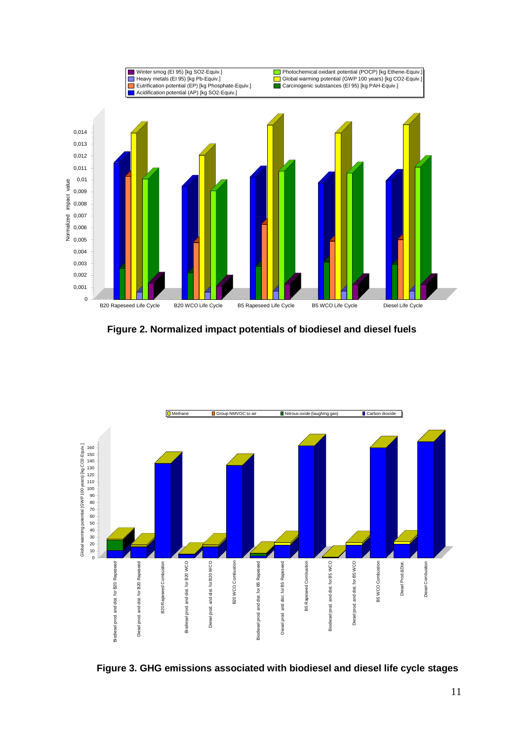

**Figure 2. Normalized impact potentials of biodiesel and diesel fuels**



**Figure 3. GHG emissions associated with biodiesel and diesel life cycle stages**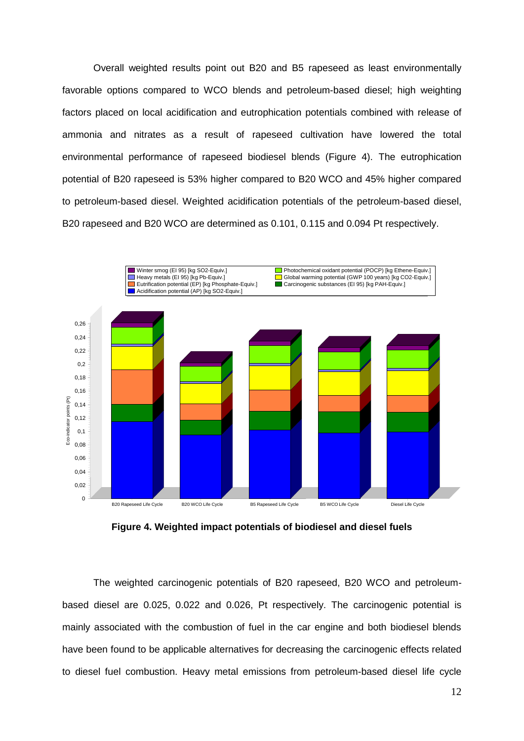Overall weighted results point out B20 and B5 rapeseed as least environmentally favorable options compared to WCO blends and petroleum-based diesel; high weighting factors placed on local acidification and eutrophication potentials combined with release of ammonia and nitrates as a result of rapeseed cultivation have lowered the total environmental performance of rapeseed biodiesel blends (Figure 4). The eutrophication potential of B20 rapeseed is 53% higher compared to B20 WCO and 45% higher compared to petroleum-based diesel. Weighted acidification potentials of the petroleum-based diesel, B20 rapeseed and B20 WCO are determined as 0.101, 0.115 and 0.094 Pt respectively.



**Figure 4. Weighted impact potentials of biodiesel and diesel fuels**

The weighted carcinogenic potentials of B20 rapeseed, B20 WCO and petroleumbased diesel are 0.025, 0.022 and 0.026, Pt respectively. The carcinogenic potential is mainly associated with the combustion of fuel in the car engine and both biodiesel blends have been found to be applicable alternatives for decreasing the carcinogenic effects related to diesel fuel combustion. Heavy metal emissions from petroleum-based diesel life cycle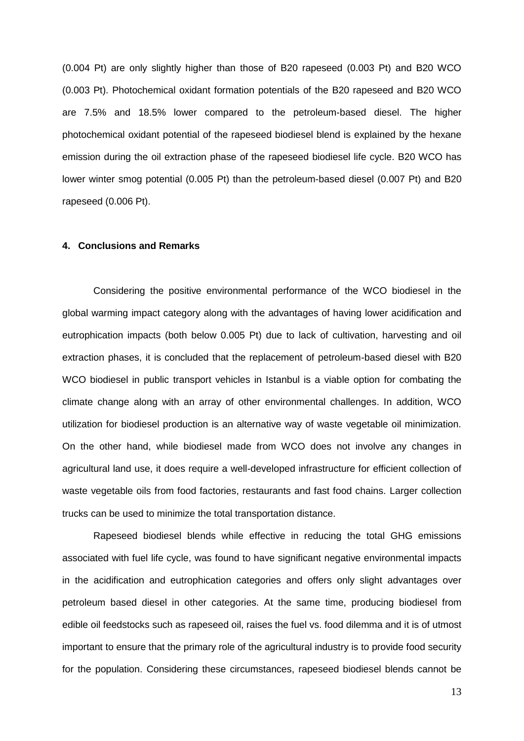(0.004 Pt) are only slightly higher than those of B20 rapeseed (0.003 Pt) and B20 WCO (0.003 Pt). Photochemical oxidant formation potentials of the B20 rapeseed and B20 WCO are 7.5% and 18.5% lower compared to the petroleum-based diesel. The higher photochemical oxidant potential of the rapeseed biodiesel blend is explained by the hexane emission during the oil extraction phase of the rapeseed biodiesel life cycle. B20 WCO has lower winter smog potential (0.005 Pt) than the petroleum-based diesel (0.007 Pt) and B20 rapeseed (0.006 Pt).

# **4. Conclusions and Remarks**

Considering the positive environmental performance of the WCO biodiesel in the global warming impact category along with the advantages of having lower acidification and eutrophication impacts (both below 0.005 Pt) due to lack of cultivation, harvesting and oil extraction phases, it is concluded that the replacement of petroleum-based diesel with B20 WCO biodiesel in public transport vehicles in Istanbul is a viable option for combating the climate change along with an array of other environmental challenges. In addition, WCO utilization for biodiesel production is an alternative way of waste vegetable oil minimization. On the other hand, while biodiesel made from WCO does not involve any changes in agricultural land use, it does require a well-developed infrastructure for efficient collection of waste vegetable oils from food factories, restaurants and fast food chains. Larger collection trucks can be used to minimize the total transportation distance.

Rapeseed biodiesel blends while effective in reducing the total GHG emissions associated with fuel life cycle, was found to have significant negative environmental impacts in the acidification and eutrophication categories and offers only slight advantages over petroleum based diesel in other categories. At the same time, producing biodiesel from edible oil feedstocks such as rapeseed oil, raises the fuel vs. food dilemma and it is of utmost important to ensure that the primary role of the agricultural industry is to provide food security for the population. Considering these circumstances, rapeseed biodiesel blends cannot be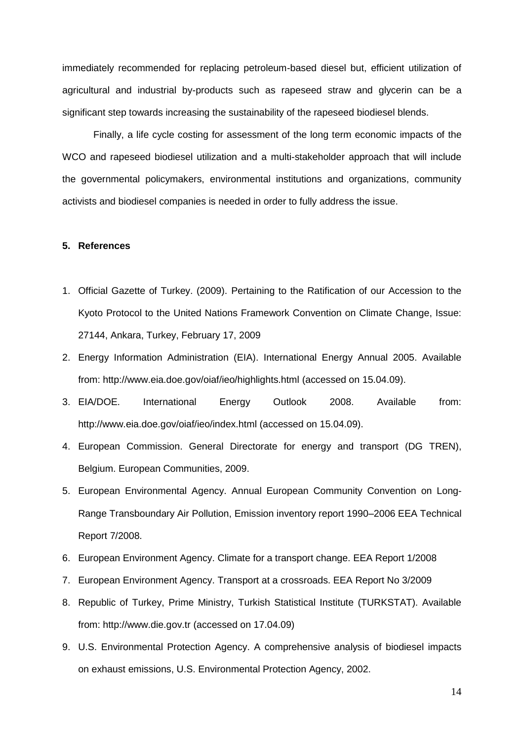immediately recommended for replacing petroleum-based diesel but, efficient utilization of agricultural and industrial by-products such as rapeseed straw and glycerin can be a significant step towards increasing the sustainability of the rapeseed biodiesel blends.

Finally, a life cycle costing for assessment of the long term economic impacts of the WCO and rapeseed biodiesel utilization and a multi-stakeholder approach that will include the governmental policymakers, environmental institutions and organizations, community activists and biodiesel companies is needed in order to fully address the issue.

# **5. References**

- 1. Official Gazette of Turkey. (2009). Pertaining to the Ratification of our Accession to the Kyoto Protocol to the United Nations Framework Convention on Climate Change, Issue: 27144, Ankara, Turkey, February 17, 2009
- 2. Energy Information Administration (EIA). International Energy Annual 2005. Available from:<http://www.eia.doe.gov/oiaf/ieo/highlights.html> (accessed on 15.04.09).
- 3. EIA/DOE. International Energy Outlook 2008. Available from: <http://www.eia.doe.gov/oiaf/ieo/index.html> (accessed on 15.04.09).
- 4. European Commission. General Directorate for energy and transport (DG TREN), Belgium. European Communities, 2009.
- 5. European Environmental Agency. Annual European Community Convention on Long-Range Transboundary Air Pollution, Emission inventory report 1990–2006 EEA Technical Report 7/2008.
- 6. European Environment Agency. Climate for a transport change. EEA Report 1/2008
- 7. European Environment Agency. Transport at a crossroads. EEA Report No 3/2009
- 8. Republic of Turkey, Prime Ministry, Turkish Statistical Institute (TURKSTAT). Available from: [http://www.die.gov.tr](http://www.die.gov.tr/) (accessed on 17.04.09)
- 9. U.S. Environmental Protection Agency. A comprehensive analysis of biodiesel impacts on exhaust emissions, U.S. Environmental Protection Agency, 2002.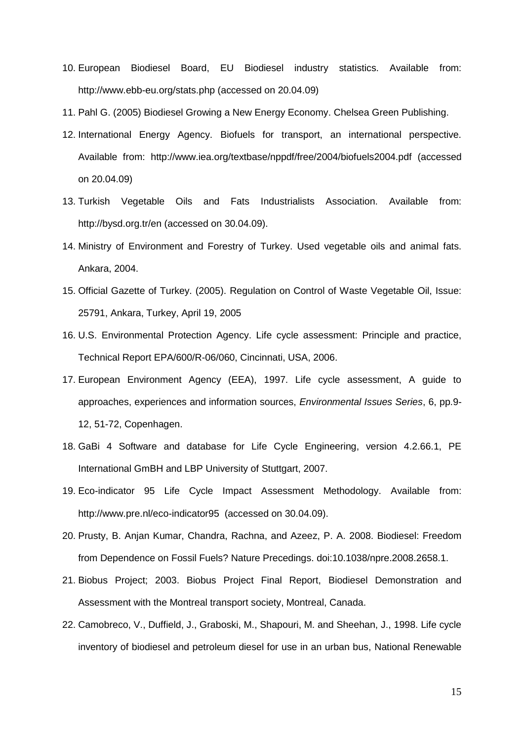- 10. European Biodiesel Board, EU Biodiesel industry statistics. Available from: <http://www.ebb-eu.org/stats.php> (accessed on 20.04.09)
- 11. Pahl G. (2005) Biodiesel Growing a New Energy Economy. Chelsea Green Publishing.
- 12. International Energy Agency. Biofuels for transport, an international perspective. Available from: <http://www.iea.org/textbase/nppdf/free/2004/biofuels2004.pdf> (accessed on 20.04.09)
- 13. Turkish Vegetable Oils and Fats Industrialists Association. Available from: [http://bysd.org.tr/en](http://bysd.org.tr/en/) (accessed on 30.04.09).
- 14. Ministry of Environment and Forestry of Turkey. Used vegetable oils and animal fats. Ankara, 2004.
- 15. Official Gazette of Turkey. (2005). Regulation on Control of Waste Vegetable Oil, Issue: 25791, Ankara, Turkey, April 19, 2005
- 16. U.S. Environmental Protection Agency. Life cycle assessment: Principle and practice, Technical Report EPA/600/R-06/060, Cincinnati, USA, 2006.
- 17. European Environment Agency (EEA), 1997. Life cycle assessment, A guide to approaches, experiences and information sources, *Environmental Issues Series*, 6, pp.9- 12, 51-72, Copenhagen.
- 18. GaBi 4 Software and database for Life Cycle Engineering, version 4.2.66.1, PE International GmBH and LBP University of Stuttgart, 2007.
- 19. Eco-indicator 95 Life Cycle Impact Assessment Methodology. Available from: [http://www.pre.nl/eco-indicator95](http://www.pre.nl/eco-indicator95/eco-indicator95.htm) (accessed on 30.04.09).
- 20. Prusty, B. Anjan Kumar, Chandra, Rachna, and Azeez, P. A. 2008. Biodiesel: Freedom from Dependence on Fossil Fuels? Nature Precedings. doi:10.1038/npre.2008.2658.1.
- 21. Biobus Project; 2003. Biobus Project Final Report, Biodiesel Demonstration and Assessment with the Montreal transport society, Montreal, Canada.
- 22. Camobreco, V., Duffield, J., Graboski, M., Shapouri, M. and Sheehan, J., 1998. Life cycle inventory of biodiesel and petroleum diesel for use in an urban bus, National Renewable